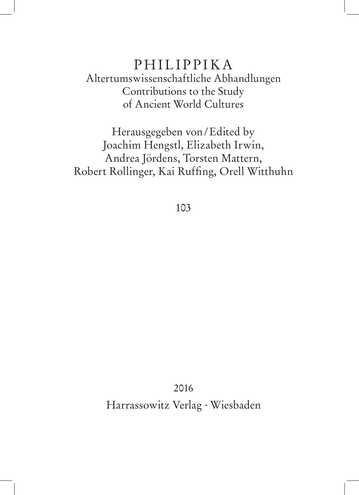## PHILIPPIKA Altertumswissenschaftliche Abhandlungen Contributions to the Study of Ancient World Cultures

Herausgegeben von/Edited by Joachim Hengstl, Elizabeth Irwin, Andrea Jördens, Torsten Mattern, Robert Rollinger, Kai Ruffing, Orell Witthuhn

103

2016

Harrassowitz Verlag . Wiesbaden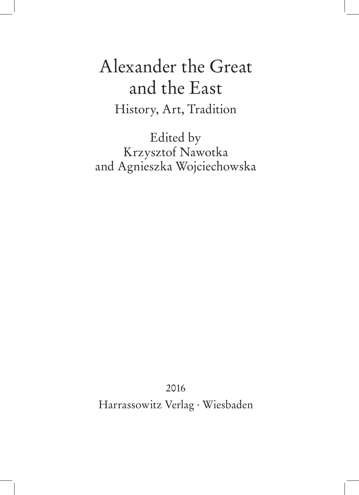## Alexander the Great and the East History, Art, Tradition

Edited by Krzysztof Nawotka and Agnieszka Wojciechowska

2016

Harrassowitz Verlag . Wiesbaden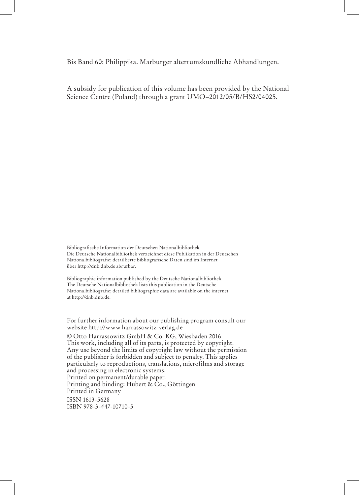Bis Band 60: Philippika. Marburger altertumskundliche Abhandlungen.

A subsidy for publication of this volume has been provided by the National Science Centre (Poland) through a grant UMO–2012/05/B/HS2/04025.

Bibliografische Information der Deutschen Nationalbibliothek Die Deutsche Nationalbibliothek verzeichnet diese Publikation in der Deutschen Nationalbibliografie; detaillierte bibliografische Daten sind im Internet über http://dnb.dnb.de abrufbar.

Bibliographic information published by the Deutsche Nationalbibliothek The Deutsche Nationalbibliothek lists this publication in the Deutsche Nationalbibliografie; detailed bibliographic data are available on the internet at http://dnb.dnb.de.

For further information about our publishing program consult our website http://www.harrassowitz-verlag.de

© Otto Harrassowitz GmbH & Co. KG, Wiesbaden 2016 This work, including all of its parts, is protected by copyright. Any use beyond the limits of copyright law without the permission of the publisher is forbidden and subject to penalty. This applies particularly to reproductions, translations, microfilms and storage and processing in electronic systems. Printed on permanent/durable paper. Printing and binding: Hubert  $\&$  Co., Göttingen Printed in Germany ISSN 1613-5628 ISBN 978-3-447-10710-5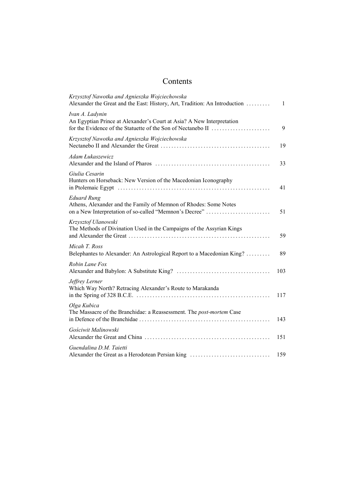## Contents

| Krzysztof Nawotka and Agnieszka Wojciechowska<br>Alexander the Great and the East: History, Art, Tradition: An Introduction                              | 1   |
|----------------------------------------------------------------------------------------------------------------------------------------------------------|-----|
| Ivan A. Ladynin<br>An Egyptian Prince at Alexander's Court at Asia? A New Interpretation<br>for the Evidence of the Statuette of the Son of Nectanebo II | 9   |
| Krzysztof Nawotka and Agnieszka Wojciechowska                                                                                                            | 19  |
| Adam Łukaszewicz                                                                                                                                         | 33  |
| Giulia Cesarin<br>Hunters on Horseback: New Version of the Macedonian Iconography                                                                        | 41  |
| <b>Eduard Rung</b><br>Athens, Alexander and the Family of Memnon of Rhodes: Some Notes<br>on a New Interpretation of so-called "Memnon's Decree"         | 51  |
| Krzysztof Ulanowski<br>The Methods of Divination Used in the Campaigns of the Assyrian Kings                                                             | 59  |
| Micah T. Ross<br>Belephantes to Alexander: An Astrological Report to a Macedonian King?                                                                  | 89  |
| Robin Lane Fox                                                                                                                                           | 103 |
| Jeffrey Lerner<br>Which Way North? Retracing Alexander's Route to Marakanda                                                                              | 117 |
| Olga Kubica<br>The Massacre of the Branchidae: a Reassessment. The post-mortem Case                                                                      | 143 |
| Gościwit Malinowski                                                                                                                                      | 151 |
| Guendalina D.M. Taietti<br>Alexander the Great as a Herodotean Persian king                                                                              | 159 |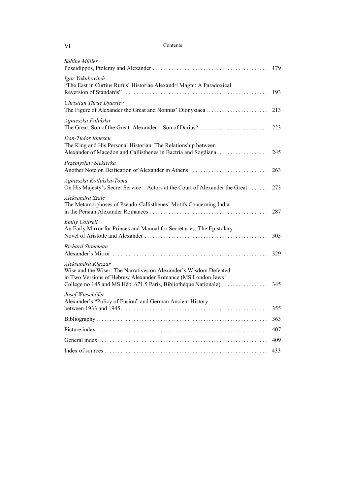| - VI | Contents |
|------|----------|
|      |          |

| Sabine Müller                                                                                                                                                                                                              | 179 |
|----------------------------------------------------------------------------------------------------------------------------------------------------------------------------------------------------------------------------|-----|
| Igor Yakubovitch<br>"The East in Curtius Rufus' Historiae Alexandri Magni: A Paradoxical                                                                                                                                   | 193 |
| Christian Thrue Djurslev<br>The Figure of Alexander the Great and Nonnus' Dionysiaca                                                                                                                                       | 213 |
| Agnieszka Fulińska<br>The Great, Son of the Great. Alexander – Son of Darius?                                                                                                                                              | 223 |
| Dan-Tudor Ionescu<br>The King and His Personal Historian: The Relationship between<br>Alexander of Macedon and Callisthenes in Bactria and Sogdiana                                                                        | 245 |
| Przemysław Siekierka<br>Another Note on Deification of Alexander in Athens                                                                                                                                                 | 263 |
| Agnieszka Kotlińska-Toma<br>On His Majesty's Secret Service - Actors at the Court of Alexander the Great                                                                                                                   | 273 |
| Aleksandra Szalc<br>The Metamorphoses of Pseudo-Callisthenes' Motifs Concerning India                                                                                                                                      | 287 |
| <b>Emily Cottrell</b><br>An Early Mirror for Princes and Manual for Secretaries: The Epistolary                                                                                                                            | 303 |
| Richard Stoneman                                                                                                                                                                                                           | 329 |
| Aleksandra Klęczar<br>Wise and the Wiser: The Narratives on Alexander's Wisdom Defeated<br>in Two Versions of Hebrew Alexander Romance (MS London Jews'<br>College no 145 and MS Héb. 671.5 Paris, Bibliothèque Nationale) | 345 |
| Josef Wiesehöfer<br>Alexander's "Policy of Fusion" and German Ancient History                                                                                                                                              | 355 |
|                                                                                                                                                                                                                            | 363 |
|                                                                                                                                                                                                                            | 407 |
|                                                                                                                                                                                                                            | 409 |
|                                                                                                                                                                                                                            | 433 |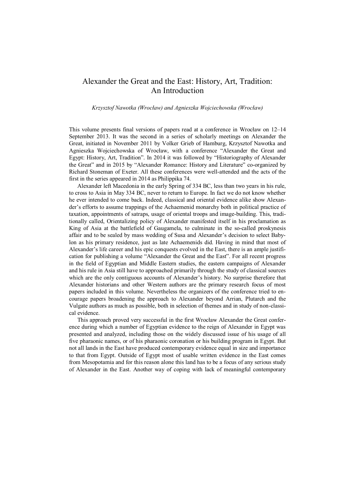## Alexander the Great and the East: History, Art, Tradition: An Introduction

*Krzysztof Nawotka (Wrocław) and Agnieszka Wojciechowska (Wrocław)* 

This volume presents final versions of papers read at a conference in Wrocław on 12–14 September 2013. It was the second in a series of scholarly meetings on Alexander the Great, initiated in November 2011 by Volker Grieb of Hamburg, Krzysztof Nawotka and Agnieszka Wojciechowska of Wrocław, with a conference "Alexander the Great and Egypt: History, Art, Tradition". In 2014 it was followed by "Historiography of Alexander the Great" and in 2015 by "Alexander Romance: History and Literature" co-organized by Richard Stoneman of Exeter. All these conferences were well-attended and the acts of the first in the series appeared in 2014 as Philippika 74.

Alexander left Macedonia in the early Spring of 334 BC, less than two years in his rule, to cross to Asia in May 334 BC, never to return to Europe. In fact we do not know whether he ever intended to come back. Indeed, classical and oriental evidence alike show Alexander's efforts to assume trappings of the Achaemenid monarchy both in political practice of taxation, appointments of satraps, usage of oriental troops and image-building. This, traditionally called, Orientalizing policy of Alexander manifested itself in his proclamation as King of Asia at the battlefield of Gaugamela, to culminate in the so-called proskynesis affair and to be sealed by mass wedding of Susa and Alexander's decision to select Babylon as his primary residence, just as late Achaemenids did. Having in mind that most of Alexander's life career and his epic conquests evolved in the East, there is an ample justification for publishing a volume "Alexander the Great and the East". For all recent progress in the field of Egyptian and Middle Eastern studies, the eastern campaigns of Alexander and his rule in Asia still have to approached primarily through the study of classical sources which are the only contiguous accounts of Alexander's history. No surprise therefore that Alexander historians and other Western authors are the primary research focus of most papers included in this volume. Nevertheless the organizers of the conference tried to encourage papers broadening the approach to Alexander beyond Arrian, Plutarch and the Vulgate authors as much as possible, both in selection of themes and in study of non-classical evidence.

This approach proved very successful in the first Wrocław Alexander the Great conference during which a number of Egyptian evidence to the reign of Alexander in Egypt was presented and analyzed, including those on the widely discussed issue of his usage of all five pharaonic names, or of his pharaonic coronation or his building program in Egypt. But not all lands in the East have produced contemporary evidence equal in size and importance to that from Egypt. Outside of Egypt most of usable written evidence in the East comes from Mesopotamia and for this reason alone this land has to be a focus of any serious study of Alexander in the East. Another way of coping with lack of meaningful contemporary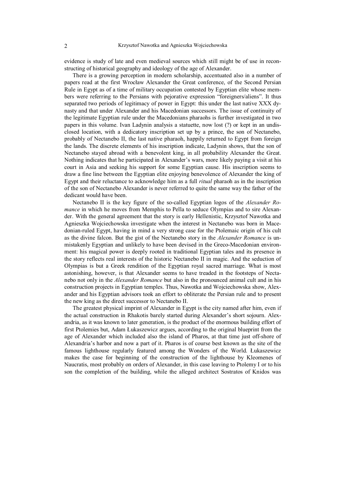evidence is study of late and even medieval sources which still might be of use in reconstructing of historical geography and ideology of the age of Alexander.

There is a growing perception in modern scholarship, accentuated also in a number of papers read at the first Wrocław Alexander the Great conference, of the Second Persian Rule in Egypt as of a time of military occupation contested by Egyptian elite whose members were referring to the Persians with pejorative expression "foreigners/aliens". It thus separated two periods of legitimacy of power in Egypt: this under the last native XXX dynasty and that under Alexander and his Macedonian successors. The issue of continuity of the legitimate Egyptian rule under the Macedonians pharaohs is further investigated in two papers in this volume. Ivan Ladynin analysis a statuette, now lost (?) or kept in an undisclosed location, with a dedicatory inscription set up by a prince, the son of Nectanebo, probably of Nectanebo II, the last native pharaoh, happily returned to Egypt from foreign the lands. The discrete elements of his inscription indicate, Ladynin shows, that the son of Nectanebo stayed abroad with a benevolent king, in all probability Alexander the Great. Nothing indicates that he participated in Alexander's wars, more likely paying a visit at his court in Asia and seeking his support for some Egyptian cause. His inscription seems to draw a fine line between the Egyptian elite enjoying benevolence of Alexander the king of Egypt and their reluctance to acknowledge him as a full *ritual* pharaoh as in the inscription of the son of Nectanebo Alexander is never referred to quite the same way the father of the dedicant would have been.

Nectanebo II is the key figure of the so-called Egyptian logos of the *Alexander Romance* in which he moves from Memphis to Pella to seduce Olympias and to sire Alexander. With the general agreement that the story is early Hellenistic, Krzysztof Nawotka and Agnieszka Wojciechowska investigate when the interest in Nectanebo was born in Macedonian-ruled Egypt, having in mind a very strong case for the Ptolemaic origin of his cult as the divine falcon. But the gist of the Nectanebo story in the *Alexander Romance* is unmistakenly Egyptian and unlikely to have been devised in the Greco-Macedonian environment: his magical power is deeply rooted in traditional Egyptian tales and its presence in the story reflects real interests of the historic Nectanebo II in magic. And the seduction of Olympias is but a Greek rendition of the Egyptian royal sacred marriage. What is most astonishing, however, is that Alexander seems to have treaded in the footsteps of Nectanebo not only in the *Alexander Romance* but also in the pronounced animal cult and in his construction projects in Egyptian temples. Thus, Nawotka and Wojciechowska show, Alexander and his Egyptian advisors took an effort to obliterate the Persian rule and to present the new king as the direct successor to Nectanebo II.

The greatest physical imprint of Alexander in Egypt is the city named after him, even if the actual construction in Rhakotis barely started during Alexander's short sojourn. Alexandria, as it was known to later generation, is the product of the enormous building effort of first Ptolemies but, Adam Łukaszewicz argues, according to the original blueprint from the age of Alexander which included also the island of Pharos, at that time just off-shore of Alexandria's harbor and now a part of it. Pharos is of course best known as the site of the famous lighthouse regularly featured among the Wonders of the World. Łukaszewicz makes the case for beginning of the construction of the lighthouse by Kleomenes of Naucratis, most probably on orders of Alexander, in this case leaving to Ptolemy I or to his son the completion of the building, while the alleged architect Sostratos of Knidos was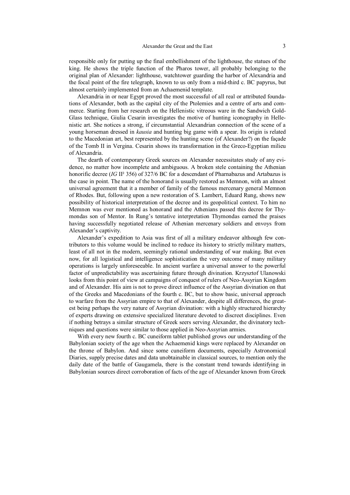responsible only for putting up the final embellishment of the lighthouse, the statues of the king. He shows the triple function of the Pharos tower, all probably belonging to the original plan of Alexander: lighthouse, watchtower guarding the harbor of Alexandria and the focal point of the fire telegraph, known to us only from a mid-third c. BC papyrus, but almost certainly implemented from an Achaemenid template.

Alexandria in or near Egypt proved the most successful of all real or attributed foundations of Alexander, both as the capital city of the Ptolemies and a centre of arts and commerce. Starting from her research on the Hellenistic vitreous ware in the Sandwich Gold-Glass technique, Giulia Cesarin investigates the motive of hunting iconography in Hellenistic art. She notices a strong, if circumstantial Alexandrian connection of the scene of a young horseman dressed in *kausia* and hunting big game with a spear. Its origin is related to the Macedonian art, best represented by the hunting scene (of Alexander?) on the façade of the Tomb II in Vergina. Cesarin shows its transformation in the Greco-Egyptian milieu of Alexandria.

The dearth of contemporary Greek sources on Alexander necessitates study of any evidence, no matter how incomplete and ambiguous. A broken stele containing the Athenian honorific decree (*IG* II² 356) of 327/6 BC for a descendant of Pharnabazus and Artabazus is the case in point. The name of the honorand is usually restored as Memnon, with an almost universal agreement that it a member of family of the famous mercenary general Memnon of Rhodes. But, following upon a new restoration of S. Lambert, Eduard Rung, shows new possibility of historical interpretation of the decree and its geopolitical context. To him no Memnon was ever mentioned as honorand and the Athenians passed this decree for Thymondas son of Mentor. In Rung's tentative interpretation Thymondas earned the praises having successfully negotiated release of Athenian mercenary soldiers and envoys from Alexander's captivity.

Alexander's expedition to Asia was first of all a military endeavor although few contributors to this volume would be inclined to reduce its history to strictly military matters, least of all not in the modern, seemingly rational understanding of war making. But even now, for all logistical and intelligence sophistication the very outcome of many military operations is largely unforeseeable. In ancient warfare a universal answer to the powerful factor of unpredictability was ascertaining future through divination. Krzysztof Ulanowski looks from this point of view at campaigns of conquest of rulers of Neo-Assyrian Kingdom and of Alexander. His aim is not to prove direct influence of the Assyrian divination on that of the Greeks and Macedonians of the fourth c. BC, but to show basic, universal approach to warfare from the Assyrian empire to that of Alexander, despite all differences, the greatest being perhaps the very nature of Assyrian divination: with a highly structured hierarchy of experts drawing on extensive specialized literature devoted to discreet disciplines. Even if nothing betrays a similar structure of Greek seers serving Alexander, the divinatory techniques and questions were similar to those applied in Neo-Assyrian armies.

With every new fourth c. BC cuneiform tablet published grows our understanding of the Babylonian society of the age when the Achaemenid kings were replaced by Alexander on the throne of Babylon. And since some cuneiform documents, especially Astronomical Diaries, supply precise dates and data unobtainable in classical sources, to mention only the daily date of the battle of Gaugamela, there is the constant trend towards identifying in Babylonian sources direct corroboration of facts of the age of Alexander known from Greek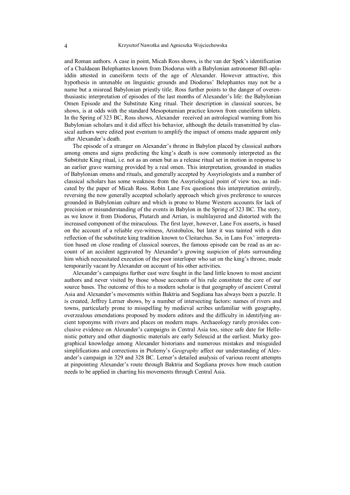and Roman authors. A case in point, Micah Ross shows, is the van der Spek's identification of a Chaldaean Belephantes known from Diodorus with a Babylonian astronomer Bēl-aplaiddin attested in cuneiform texts of the age of Alexander. However attractive, this hypothesis in untenable on linguistic grounds and Diodorus' Belephantes may not be a name but a misread Babylonian priestly title. Ross further points to the danger of overenthusiastic interpretation of episodes of the last months of Alexander's life: the Babylonian Omen Episode and the Substitute King ritual. Their description in classical sources, he shows, is at odds with the standard Mesopotamian practice known from cuneiform tablets. In the Spring of 323 BC, Ross shows, Alexander received an astrological warning from his Babylonian scholars and it did affect his behavior, although the details transmitted by classical authors were edited post eventum to amplify the impact of omens made apparent only after Alexander's death.

The episode of a stranger on Alexander's throne in Babylon placed by classical authors among omens and signs predicting the king's death is now commonly interpreted as the Substitute King ritual, i.e. not as an omen but as a release ritual set in motion in response to an earlier grave warning provided by a real omen. This interpretation, grounded in studies of Babylonian omens and rituals, and generally accepted by Assyriologists and a number of classical scholars has some weakness from the Assyriological point of view too, as indicated by the paper of Micah Ross. Robin Lane Fox questions this interpretation entirely, reversing the now generally accepted scholarly approach which gives preference to sources grounded in Babylonian culture and which is prone to blame Western accounts for lack of precision or misunderstanding of the events in Babylon in the Spring of 323 BC. The story, as we know it from Diodorus, Plutarch and Arrian, is multilayered and distorted with the increased component of the miraculous. The first layer, however, Lane Fox asserts, is based on the account of a reliable eye-witness, Aristobulos, but later it was tainted with a dim reflection of the substitute king tradition known to Cleitarchus. So, in Lans Fox' interpretation based on close reading of classical sources, the famous episode can be read as an account of an accident aggravated by Alexander's growing suspicion of plots surrounding him which necessitated execution of the poor interloper who sat on the king's throne, made temporarily vacant by Alexander on account of his other activities.

Alexander's campaigns further east were fought in the land little known to most ancient authors and never visited by those whose accounts of his rule constitute the core of our source bases. The outcome of this to a modern scholar is that geography of ancient Central Asia and Alexander's movements within Baktria and Sogdiana has always been a puzzle. It is created, Jeffrey Lerner shows, by a number of intersecting factors: names of rivers and towns, particularly prone to misspelling by medieval scribes unfamiliar with geography, overzealous emendations proposed by modern editors and the difficulty in identifying ancient toponyms with rivers and places on modern maps. Archaeology rarely provides conclusive evidence on Alexander's campaigns in Central Asia too, since safe date for Hellenistic pottery and other diagnostic materials are early Seleucid at the earliest. Murky geographical knowledge among Alexander historians and numerous mistakes and misguided simplifications and corrections in Ptolemy's *Geography* affect our understanding of Alexander's campaign in 329 and 328 BC. Lerner's detailed analysis of various recent attempts at pinpointing Alexander's route through Baktria and Sogdiana proves how much caution needs to be applied in charting his movements through Central Asia.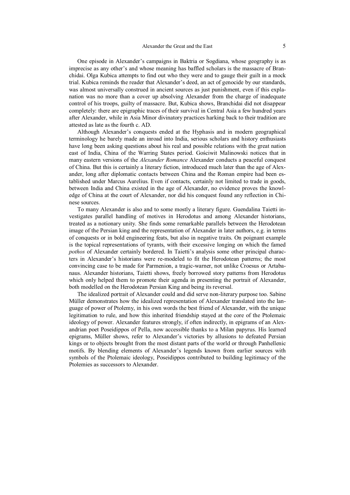One episode in Alexander's campaigns in Baktria or Sogdiana, whose geography is as imprecise as any other's and whose meaning has baffled scholars is the massacre of Branchidai. Olga Kubica attempts to find out who they were and to gauge their guilt in a mock trial. Kubica reminds the reader that Alexander's deed, an act of genocide by our standards, was almost universally construed in ancient sources as just punishment, even if this explanation was no more than a cover up absolving Alexander from the charge of inadequate control of his troops, guilty of massacre. But, Kubica shows, Branchidai did not disappear completely: there are epigraphic traces of their survival in Central Asia a few hundred years after Alexander, while in Asia Minor divinatory practices harking back to their tradition are attested as late as the fourth c. AD.

Although Alexander's conquests ended at the Hyphasis and in modern geographical terminology he barely made an inroad into India, serious scholars and history enthusiasts have long been asking questions about his real and possible relations with the great nation east of India, China of the Warring States period. Gościwit Malinowski notices that in many eastern versions of the *Alexander Romance* Alexander conducts a peaceful conquest of China. But this is certainly a literary fiction, introduced much later than the age of Alexander, long after diplomatic contacts between China and the Roman empire had been established under Marcus Aurelius. Even if contacts, certainly not limited to trade in goods, between India and China existed in the age of Alexander, no evidence proves the knowledge of China at the court of Alexander, nor did his conquest found any reflection in Chinese sources.

To many Alexander is also and to some mostly a literary figure. Guendalina Taietti investigates parallel handling of motives in Herodotus and among Alexander historians, treated as a notionary unity. She finds some remarkable parallels between the Herodotean image of the Persian king and the representation of Alexander in later authors, e.g. in terms of conquests or in bold engineering feats, but also in negative traits. On poignant example is the topical representations of tyrants, with their excessive longing on which the famed *pothos* of Alexander certainly bordered. In Taietti's analysis some other principal characters in Alexander's historians were re-modeled to fit the Herodotean patterns; the most convincing case to be made for Parmenion, a tragic-warner, not unlike Croesus or Artabanaus. Alexander historians, Taietti shows, freely borrowed story patterns from Herodotus which only helped them to promote their agenda in presenting the portrait of Alexander, both modelled on the Herodotean Persian King and being its reversal.

The idealized portrait of Alexander could and did serve non-literary purpose too. Sabine Müller demonstrates how the idealized representation of Alexander translated into the language of power of Ptolemy, in his own words the best friend of Alexander, with the unique legitimation to rule, and how this inherited friendship stayed at the core of the Ptolemaic ideology of power. Alexander features strongly, if often indirectly, in epigrams of an Alexandrian poet Poseidippos of Pella, now accessible thanks to a Milan papyrus. His learned epigrams, Müller shows, refer to Alexander's victories by allusions to defeated Persian kings or to objects brought from the most distant parts of the world or through Panhellenic motifs. By blending elements of Alexander's legends known from earlier sources with symbols of the Ptolemaic ideology, Poseidippos contributed to building legitimacy of the Ptolemies as successors to Alexander.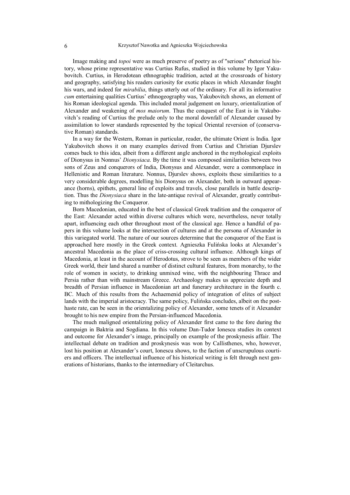Image making and *topoi* were as much preserve of poetry as of "serious" rhetorical history, whose prime representative was Curtius Rufus, studied in this volume by Igor Yakubovitch. Curtius, in Herodotean ethnographic tradition, acted at the crossroads of history and geography, satisfying his readers curiosity for exotic places in which Alexander fought his wars, and indeed for *mirabilia*, things utterly out of the ordinary. For all its informative *cum* entertaining qualities Curtius' ethnogeography was, Yakubovitch shows, an element of his Roman ideological agenda. This included moral judgement on luxury, orientalization of Alexander and weakening of *mos maiorum*. Thus the conquest of the East is in Yakubovitch's reading of Curtius the prelude only to the moral downfall of Alexander caused by assimilation to lower standards represented by the topical Oriental reversion of (conservative Roman) standards.

In a way for the Western, Roman in particular, reader, the ultimate Orient is India. Igor Yakubovitch shows it on many examples derived from Curtius and Christian Djurslev comes back to this idea, albeit from a different angle anchored in the mythological exploits of Dionysus in Nonnus' *Dionysiaca*. By the time it was composed similarities between two sons of Zeus and conquerors of India, Dionysus and Alexander, were a commonplace in Hellenistic and Roman literature. Nonnus, Djurslev shows, exploits these similarities to a very considerable degrees, modelling his Dionysus on Alexander, both in outward appearance (horns), epithets, general line of exploits and travels, close parallels in battle description. Thus the *Dionysiaca* share in the late-antique revival of Alexander, greatly contributing to mithologizing the Conqueror.

Born Macedonian, educated in the best of classical Greek tradition and the conqueror of the East: Alexander acted within diverse cultures which were, nevertheless, never totally apart, influencing each other throughout most of the classical age. Hence a handful of papers in this volume looks at the intersection of cultures and at the persona of Alexander in this variegated world. The nature of our sources determine that the conqueror of the East is approached here mostly in the Greek context. Agnieszka Fulińska looks at Alexander's ancestral Macedonia as the place of criss-crossing cultural influence. Although kings of Macedonia, at least in the account of Herodotus, strove to be seen as members of the wider Greek world, their land shared a number of distinct cultural features, from monarchy, to the role of women in society, to drinking unmixed wine, with the neighbouring Thrace and Persia rather than with mainstream Greece. Archaeology makes us appreciate depth and breadth of Persian influence in Macedonian art and funerary architecture in the fourth c. BC. Much of this results from the Achaemenid policy of integration of elites of subject lands with the imperial aristocracy. The same policy, Fulińska concludes, albeit on the posthaste rate, can be seen in the orientalizing policy of Alexander, some tenets of it Alexander brought to his new empire from the Persian-influenced Macedonia.

The much maligned orientalizing policy of Alexander first came to the fore during the campaign in Baktria and Sogdiana. In this volume Dan-Tudor Ionescu studies its context and outcome for Alexander's image, principally on example of the proskynesis affair. The intellectual debate on tradition and proskynesis was won by Callisthenes, who, however, lost his position at Alexander's court, Ionescu shows, to the faction of unscrupulous courtiers and officers. The intellectual influence of his historical writing is felt through next generations of historians, thanks to the intermediary of Cleitarchus.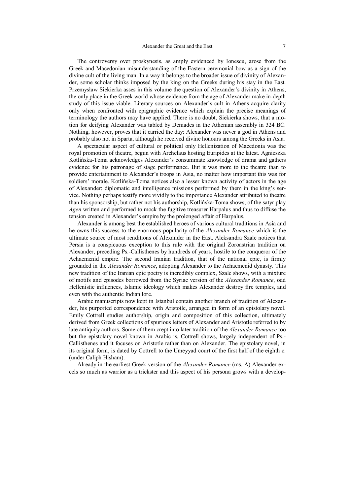The controversy over proskynesis, as amply evidenced by Ionescu, arose from the Greek and Macedonian misunderstanding of the Eastern ceremonial bow as a sign of the divine cult of the living man. In a way it belongs to the broader issue of divinity of Alexander, some scholar thinks imposed by the king on the Greeks during his stay in the East. Przemysław Siekierka asses in this volume the question of Alexander's divinity in Athens, the only place in the Greek world whose evidence from the age of Alexander make in-depth study of this issue viable. Literary sources on Alexander's cult in Athens acquire clarity only when confronted with epigraphic evidence which explain the precise meanings of terminology the authors may have applied. There is no doubt, Siekierka shows, that a motion for deifying Alexander was tabled by Demades in the Athenian assembly in 324 BC. Nothing, however, proves that it carried the day: Alexander was never a god in Athens and probably also not in Sparta, although he received divine honours among the Greeks in Asia.

A spectacular aspect of cultural or political only Hellenization of Macedonia was the royal promotion of theatre, begun with Archelaus hosting Euripides at the latest. Agnieszka Kotlińska-Toma acknowledges Alexander's consummate knowledge of drama and gathers evidence for his patronage of stage performance. But it was more to the theatre than to provide entertainment to Alexander's troops in Asia, no matter how important this was for soldiers' morale. Kotlińska-Toma notices also a lesser known activity of actors in the age of Alexander: diplomatic and intelligence missions performed by them in the king's service. Nothing perhaps testify more vividly to the importance Alexander attributed to theatre than his sponsorship, but rather not his authorship, Kotlińska-Toma shows, of the satyr play *Agen* written and performed to mock the fugitive treasurer Harpalus and thus to diffuse the tension created in Alexander's empire by the prolonged affair of Harpalus.

Alexander is among best the established heroes of various cultural traditions in Asia and he owns this success to the enormous popularity of the *Alexander Romance* which is the ultimate source of most renditions of Alexander in the East. Aleksandra Szalc notices that Persia is a conspicuous exception to this rule with the original Zoroastrian tradition on Alexander, preceding Ps.-Callisthenes by hundreds of years, hostile to the conqueror of the Achaemenid empire. The second Iranian tradition, that of the national epic, is firmly grounded in the *Alexander Romance*, adopting Alexander to the Achaemenid dynasty. This new tradition of the Iranian epic poetry is incredibly complex, Szalc shows, with a mixture of motifs and episodes borrowed from the Syriac version of the *Alexander Romance*, odd Hellenistic influences, Islamic ideology which makes Alexander destroy fire temples, and even with the authentic Indian lore.

Arabic manuscripts now kept in Istanbul contain another branch of tradition of Alexander, his purported correspondence with Aristotle, arranged in form of an epistolary novel. Emily Cottrell studies authorship, origin and composition of this collection, ultimately derived from Greek collections of spurious letters of Alexander and Aristotle referred to by late antiquity authors. Some of them crept into later tradition of the *Alexander Romance* too but the epistolary novel known in Arabic is, Cottrell shows, largely independent of Ps.- Callisthenes and it focuses on Aristotle rather than on Alexander. The epistolary novel, in its original form, is dated by Cottrell to the Umeyyad court of the first half of the eighth c. (under Caliph Hishām).

Already in the earliest Greek version of the *Alexander Romance* (ms. A) Alexander excels so much as warrior as a trickster and this aspect of his persona grows with a develop